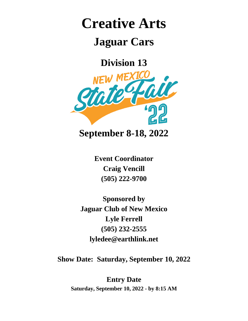# **Creative Arts**

## **Jaguar Cars**

**Division 13**



**Event Coordinator Craig Vencill (505) 222-9700**

**Sponsored by Jaguar Club of New Mexico Lyle Ferrell (505) 232-2555 lyledee@earthlink.net**

**Show Date: Saturday, September 10, 2022**

**Entry Date Saturday, September 10, 2022 - by 8:15 AM**